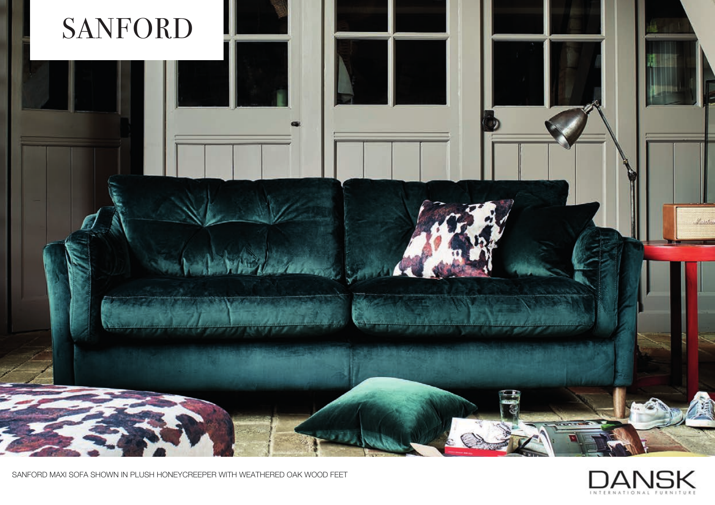